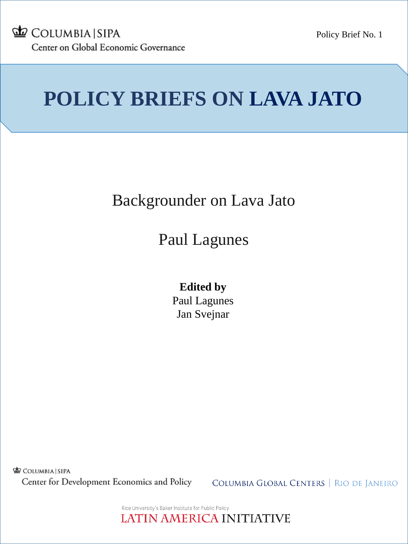

# **POLICY BRIEFS ON LAVA JATO**

## Backgrounder on Lava Jato

## Paul Lagunes

### **Edited by** Paul Lagunes Jan Svejnar

COLUMBIA SIPA Center for Development Economics and Policy

COLUMBIA GLOBAL CENTERS | RIO DE JANEIRO

Rice University's Baker Institute for Public Policy LATIN AMERICA INITIATIVE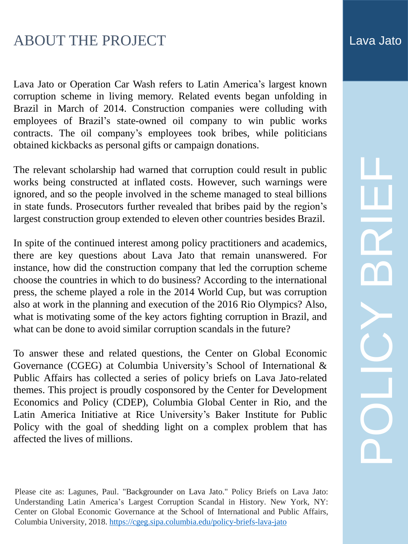### ABOUT THE PROJECT ABOUT THE PROJECT

Lava Jato or Operation Car Wash refers to Latin America's largest known corruption scheme in living memory. Related events began unfolding in Brazil in March of 2014. Construction companies were colluding with employees of Brazil's state-owned oil company to win public works contracts. The oil company's employees took bribes, while politicians obtained kickbacks as personal gifts or campaign donations.

The relevant scholarship had warned that corruption could result in public works being constructed at inflated costs. However, such warnings were ignored, and so the people involved in the scheme managed to steal billions in state funds. Prosecutors further revealed that bribes paid by the region's largest construction group extended to eleven other countries besides Brazil.

In spite of the continued interest among policy practitioners and academics, there are key questions about Lava Jato that remain unanswered. For instance, how did the construction company that led the corruption scheme choose the countries in which to do business? According to the international press, the scheme played a role in the 2014 World Cup, but was corruption also at work in the planning and execution of the 2016 Rio Olympics? Also, what is motivating some of the key actors fighting corruption in Brazil, and what can be done to avoid similar corruption scandals in the future?

To answer these and related questions, the Center on Global Economic Governance (CGEG) at Columbia University's School of International & Public Affairs has collected a series of policy briefs on Lava Jato-related themes. This project is proudly cosponsored by the Center for Development Economics and Policy (CDEP), Columbia Global Center in Rio, and the Latin America Initiative at Rice University's Baker Institute for Public Policy with the goal of shedding light on a complex problem that has affected the lives of millions.

Please cite as: Lagunes, Paul. "Backgrounder on Lava Jato." Policy Briefs on Lava Jato: Understanding Latin America's Largest Corruption Scandal in History. New York, NY: Center on Global Economic Governance at the School of International and Public Affairs, Columbia University, 2018. <https://cgeg.sipa.columbia.edu/policy-briefs-lava-jato>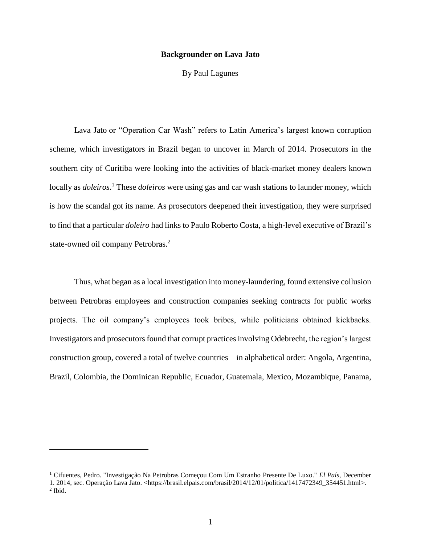#### **Backgrounder on Lava Jato**

By Paul Lagunes

Lava Jato or "Operation Car Wash" refers to Latin America's largest known corruption scheme, which investigators in Brazil began to uncover in March of 2014. Prosecutors in the southern city of Curitiba were looking into the activities of black-market money dealers known locally as *doleiros*.<sup>1</sup> These *doleiros* were using gas and car wash stations to launder money, which is how the scandal got its name. As prosecutors deepened their investigation, they were surprised to find that a particular *doleiro* had links to Paulo Roberto Costa, a high-level executive of Brazil's state-owned oil company Petrobras.<sup>2</sup>

Thus, what began as a local investigation into money-laundering, found extensive collusion between Petrobras employees and construction companies seeking contracts for public works projects. The oil company's employees took bribes, while politicians obtained kickbacks. Investigators and prosecutors found that corrupt practices involving Odebrecht, the region's largest construction group, covered a total of twelve countries—in alphabetical order: Angola, Argentina, Brazil, Colombia, the Dominican Republic, Ecuador, Guatemala, Mexico, Mozambique, Panama,

<sup>1</sup> Cifuentes, Pedro. "Investigação Na Petrobras Começou Com Um Estranho Presente De Luxo." *El País*, December 1. 2014, sec. Operação Lava Jato. <https://brasil.elpais.com/brasil/2014/12/01/politica/1417472349\_354451.html>. 2 Ibid.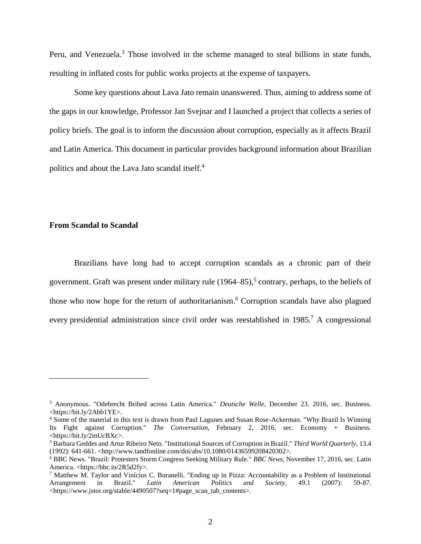Peru, and Venezuela.<sup>3</sup> Those involved in the scheme managed to steal billions in state funds, resulting in inflated costs for public works projects at the expense of taxpayers.

Some key questions about Lava Jato remain unanswered. Thus, aiming to address some of the gaps in our knowledge, Professor Jan Svejnar and I launched a project that collects a series of policy briefs. The goal is to inform the discussion about corruption, especially as it affects Brazil and Latin America. This document in particular provides background information about Brazilian politics and about the Lava Jato scandal itself. 4

#### **From Scandal to Scandal**

 $\overline{a}$ 

Brazilians have long had to accept corruption scandals as a chronic part of their government. Graft was present under military rule (1964–85), 5 contrary, perhaps, to the beliefs of those who now hope for the return of authoritarianism.<sup>6</sup> Corruption scandals have also plagued every presidential administration since civil order was reestablished in 1985.<sup>7</sup> A congressional

<sup>3</sup> Anonymous. "Odebrecht Bribed across Latin America." *Deutsche Welle*, December 23. 2016, sec. Business. <https://bit.ly/2Abb1YE>.

<sup>4</sup> Some of the material in this text is drawn from Paul Lagunes and Susan Rose-Ackerman. "Why Brazil Is Winning Its Fight against Corruption." *The Conversation*, February 2, 2016, sec. Economy + Business. <https://bit.ly/2mUcBXc>.

<sup>5</sup> Barbara Geddes and Artur Ribeiro Neto. "Institutional Sources of Corruption in Brazil." *Third World Quarterly*, 13.4 (1992): 641-661. <http://www.tandfonline.com/doi/abs/10.1080/01436599208420302>.

<sup>6</sup> BBC News. "Brazil: Protesters Storm Congress Seeking Military Rule." *BBC News*, November 17, 2016, sec. Latin America. <https://bbc.in/2R5d2fy>.

<sup>7</sup> Matthew M. Taylor and Vinícius C. Buranelli. "Ending up in Pizza: Accountability as a Problem of Institutional Arrangement in Brazil." *Latin American Politics and Society*, 49.1 (2007): 59-87. <https://www.jstor.org/stable/4490507?seq=1#page\_scan\_tab\_contents>.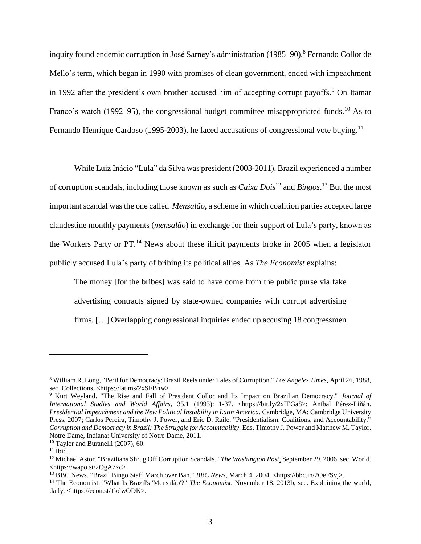inquiry found endemic corruption in José Sarney's administration (1985–90). <sup>8</sup> Fernando Collor de Mello's term, which began in 1990 with promises of clean government, ended with impeachment in 1992 after the president's own brother accused him of accepting corrupt payoffs.<sup>9</sup> On Itamar Franco's watch (1992–95), the congressional budget committee misappropriated funds.<sup>10</sup> As to Fernando Henrique Cardoso (1995-2003), he faced accusations of congressional vote buying.<sup>11</sup>

While Luiz Inácio "Lula" da Silva was president (2003-2011), Brazil experienced a number of corruption scandals, including those known as such as *Caixa Dois*<sup>12</sup> and *Bingos*. <sup>13</sup> But the most important scandal was the one called *Mensalão*, a scheme in which coalition parties accepted large clandestine monthly payments (*mensalão*) in exchange for their support of Lula's party, known as the Workers Party or  $PT<sup>14</sup>$  News about these illicit payments broke in 2005 when a legislator publicly accused Lula's party of bribing its political allies. As *The Economist* explains:

The money [for the bribes] was said to have come from the public purse via fake advertising contracts signed by state-owned companies with corrupt advertising firms. […] Overlapping congressional inquiries ended up accusing 18 congressmen

<sup>8</sup> William R. Long, "Peril for Democracy: Brazil Reels under Tales of Corruption." *Los Angeles Times*, April 26, 1988, sec. Collections. <https://lat.ms/2xSFBnw>.

<sup>9</sup> Kurt Weyland. "The Rise and Fall of President Collor and Its Impact on Brazilian Democracy." *Journal of International Studies and World Affairs*, 35.1 (1993): 1-37. <https://bit.ly/2xIEGa8>; Aníbal Pérez-Liñán. *Presidential Impeachment and the New Political Instability in Latin America*. Cambridge, MA: Cambridge University Press, 2007; Carlos Pereira, Timothy J. Power, and Eric D. Raile. "Presidentialism, Coalitions, and Accountability." *Corruption and Democracy in Brazil: The Struggle for Accountability*. Eds. Timothy J. Power and Matthew M. Taylor. Notre Dame, Indiana: University of Notre Dame, 2011.

 $10$  Taylor and Buranelli (2007), 60.

 $11$  Ibid.

<sup>12</sup> Michael Astor. "Brazilians Shrug Off Corruption Scandals." *The Washington Post*, September 29. 2006, sec. World. <https://wapo.st/2OgA7xc>.

<sup>13</sup> BBC News. "Brazil Bingo Staff March over Ban." *BBC News*, March 4. 2004. <https://bbc.in/2OeFSvj>.

<sup>&</sup>lt;sup>14</sup> The Economist. "What Is Brazil's 'Mensalão'?" *The Economist*, November 18. 2013b, sec. Explaining the world, daily. <https://econ.st/1kdwODK>.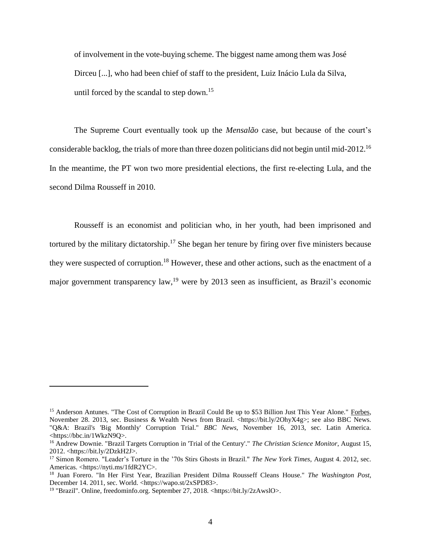of involvement in the vote-buying scheme. The biggest name among them was José Dirceu [...], who had been chief of staff to the president, Luiz Inácio Lula da Silva, until forced by the scandal to step down.<sup>15</sup>

The Supreme Court eventually took up the *Mensalão* case, but because of the court's considerable backlog, the trials of more than three dozen politicians did not begin until mid-2012.<sup>16</sup> In the meantime, the PT won two more presidential elections, the first re-electing Lula, and the second Dilma Rousseff in 2010.

Rousseff is an economist and politician who, in her youth, had been imprisoned and tortured by the military dictatorship.<sup>17</sup> She began her tenure by firing over five ministers because they were suspected of corruption.<sup>18</sup> However, these and other actions, such as the enactment of a major government transparency law,<sup>19</sup> were by 2013 seen as insufficient, as Brazil's economic

<sup>&</sup>lt;sup>15</sup> Anderson Antunes. "The Cost of Corruption in Brazil Could Be up to \$53 Billion Just This Year Alone." Forbes, November 28. 2013, sec. Business & Wealth News from Brazil. <https://bit.ly/2OhyX4g>; see also BBC News. "Q&A: Brazil's 'Big Monthly' Corruption Trial." *BBC News*, November 16, 2013, sec. Latin America. <https://bbc.in/1WkzN9Q>.

<sup>16</sup> Andrew Downie. "Brazil Targets Corruption in 'Trial of the Century'." *The Christian Science Monitor*, August 15, 2012. <https://bit.ly/2DzkH2J>.

<sup>17</sup> Simon Romero. "Leader's Torture in the '70s Stirs Ghosts in Brazil." *The New York Times*, August 4. 2012, sec. Americas. <https://nyti.ms/1fdR2YC>.

<sup>18</sup> Juan Forero. "In Her First Year, Brazilian President Dilma Rousseff Cleans House." *The Washington Post*, December 14. 2011, sec. World. <https://wapo.st/2xSPD83>.

<sup>19</sup> "Brazil". Online, freedominfo.org. September 27, 2018. <https://bit.ly/2zAwslO>.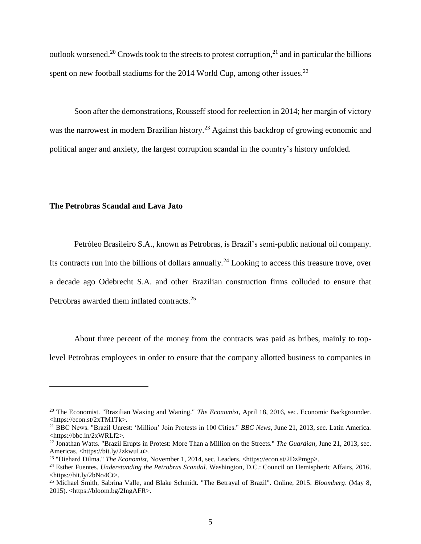outlook worsened.<sup>20</sup> Crowds took to the streets to protest corruption,<sup>21</sup> and in particular the billions spent on new football stadiums for the 2014 World Cup, among other issues.<sup>22</sup>

Soon after the demonstrations, Rousseff stood for reelection in 2014; her margin of victory was the narrowest in modern Brazilian history.<sup>23</sup> Against this backdrop of growing economic and political anger and anxiety, the largest corruption scandal in the country's history unfolded.

### **The Petrobras Scandal and Lava Jato**

 $\overline{a}$ 

Petróleo Brasileiro S.A., known as Petrobras, is Brazil's semi-public national oil company. Its contracts run into the billions of dollars annually.<sup>24</sup> Looking to access this treasure trove, over a decade ago Odebrecht S.A. and other Brazilian construction firms colluded to ensure that Petrobras awarded them inflated contracts.<sup>25</sup>

About three percent of the money from the contracts was paid as bribes, mainly to toplevel Petrobras employees in order to ensure that the company allotted business to companies in

<sup>20</sup> The Economist. "Brazilian Waxing and Waning." *The Economist*, April 18, 2016, sec. Economic Backgrounder. <https://econ.st/2xTM1Tk>.

<sup>21</sup> BBC News. "Brazil Unrest: 'Million' Join Protests in 100 Cities." *BBC News*, June 21, 2013, sec. Latin America. <https://bbc.in/2xWRLf2>.

<sup>22</sup> Jonathan Watts. "Brazil Erupts in Protest: More Than a Million on the Streets." *The Guardian*, June 21, 2013, sec. Americas. <https://bit.ly/2zkwuLu>.

<sup>&</sup>lt;sup>23</sup> "Diehard Dilma." *The Economist*, November 1, 2014, sec. Leaders. <https://econ.st/2DzPmgp>.

<sup>24</sup> Esther Fuentes. *Understanding the Petrobras Scandal*. Washington, D.C.: Council on Hemispheric Affairs, 2016. <https://bit.ly/2bNo4Ct>.

<sup>25</sup> Michael Smith, Sabrina Valle, and Blake Schmidt. "The Betrayal of Brazil". Online, 2015. *Bloomberg*. (May 8, 2015). <https://bloom.bg/2IngAFR>.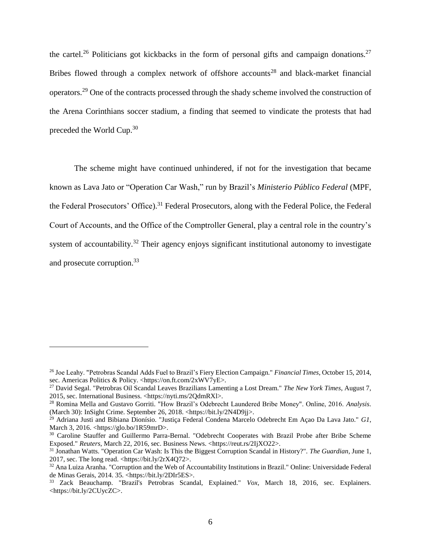the cartel.<sup>26</sup> Politicians got kickbacks in the form of personal gifts and campaign donations.<sup>27</sup> Bribes flowed through a complex network of offshore accounts<sup>28</sup> and black-market financial operators.<sup>29</sup> One of the contracts processed through the shady scheme involved the construction of the Arena Corinthians soccer stadium, a finding that seemed to vindicate the protests that had preceded the World Cup.<sup>30</sup>

The scheme might have continued unhindered, if not for the investigation that became known as Lava Jato or "Operation Car Wash," run by Brazil's *Ministerio Público Federal* (MPF, the Federal Prosecutors' Office).<sup>31</sup> Federal Prosecutors, along with the Federal Police, the Federal Court of Accounts, and the Office of the Comptroller General, play a central role in the country's system of accountability.<sup>32</sup> Their agency enjoys significant institutional autonomy to investigate and prosecute corruption.<sup>33</sup>

<sup>26</sup> Joe Leahy. "Petrobras Scandal Adds Fuel to Brazil's Fiery Election Campaign." *Financial Times*, October 15, 2014, sec. Americas Politics & Policy. <https://on.ft.com/2xWV7yE>.

<sup>27</sup> David Segal. "Petrobras Oil Scandal Leaves Brazilians Lamenting a Lost Dream." *The New York Times*, August 7, 2015, sec. International Business. <https://nyti.ms/2QdmRXl>.

<sup>28</sup> Romina Mella and Gustavo Gorriti. "How Brazil's Odebrecht Laundered Bribe Money". Online, 2016. *Analysis*. (March 30): InSight Crime. September 26, 2018. <https://bit.ly/2N4D9jj>.

<sup>29</sup> Adriana Justi and Bibiana Dionísio. "Justiça Federal Condena Marcelo Odebrecht Em Açao Da Lava Jato." *G1*, March 3, 2016. <https://glo.bo/1R59mrD>.

<sup>&</sup>lt;sup>30</sup> Caroline Stauffer and Guillermo Parra-Bernal. "Odebrecht Cooperates with Brazil Probe after Bribe Scheme Exposed." *Reuters*, March 22, 2016, sec. Business News. <https://reut.rs/2IjXO22>.

<sup>31</sup> Jonathan Watts. "Operation Car Wash: Is This the Biggest Corruption Scandal in History?". *The Guardian*, June 1, 2017, sec. The long read. <https://bit.ly/2rX4Q72>.

<sup>32</sup> Ana Luiza Aranha. "Corruption and the Web of Accountability Institutions in Brazil." Online: Universidade Federal de Minas Gerais, 2014. 35. <https://bit.ly/2DIr5ES>.

<sup>33</sup> Zack Beauchamp. "Brazil's Petrobras Scandal, Explained." *Vox*, March 18, 2016, sec. Explainers. <https://bit.ly/2CUycZC>.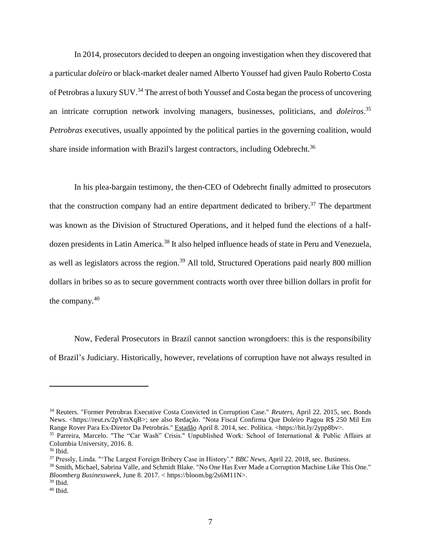In 2014, prosecutors decided to deepen an ongoing investigation when they discovered that a particular *doleiro* or black-market dealer named Alberto Youssef had given Paulo Roberto Costa of Petrobras a luxury SUV.<sup>34</sup> The arrest of both Youssef and Costa began the process of uncovering an intricate corruption network involving managers, businesses, politicians, and *doleiros*. 35 *Petrobras* executives, usually appointed by the political parties in the governing coalition, would share inside information with Brazil's largest contractors, including Odebrecht.<sup>36</sup>

In his plea-bargain testimony, the then-CEO of Odebrecht finally admitted to prosecutors that the construction company had an entire department dedicated to bribery.<sup>37</sup> The department was known as the Division of Structured Operations, and it helped fund the elections of a halfdozen presidents in Latin America.<sup>38</sup> It also helped influence heads of state in Peru and Venezuela, as well as legislators across the region.<sup>39</sup> All told, Structured Operations paid nearly 800 million dollars in bribes so as to secure government contracts worth over three billion dollars in profit for the company. $40$ 

Now, Federal Prosecutors in Brazil cannot sanction wrongdoers: this is the responsibility of Brazil's Judiciary. Historically, however, revelations of corruption have not always resulted in

<sup>34</sup> Reuters. "Former Petrobras Executive Costa Convicted in Corruption Case." *Reuters*, April 22. 2015, sec. Bonds News. <https://reut.rs/2pYmXqB>; see also Redação. "Nota Fiscal Confirma Que Doleiro Pagou R\$ 250 Mil Em Range Rover Para Ex-Diretor Da Petrobrás." Estadão April 8. 2014, sec. Política. <https://bit.ly/2ypp8bv>. <sup>35</sup> Parreira, Marcelo. "The "Car Wash" Crisis." Unpublished Work: School of International & Public Affairs at

Columbia University, 2016. 8.

<sup>36</sup> Ibid.

<sup>37</sup> Pressly, Linda. "'The Largest Foreign Bribery Case in History'." *BBC News*, April 22. 2018, sec. Business.

<sup>&</sup>lt;sup>38</sup> Smith, Michael, Sabrina Valle, and Schmidt Blake. "No One Has Ever Made a Corruption Machine Like This One." *Bloomberg Businessweek*, June 8. 2017. < https://bloom.bg/2s6M11N>.

 $39$  Ibid.

<sup>40</sup> Ibid.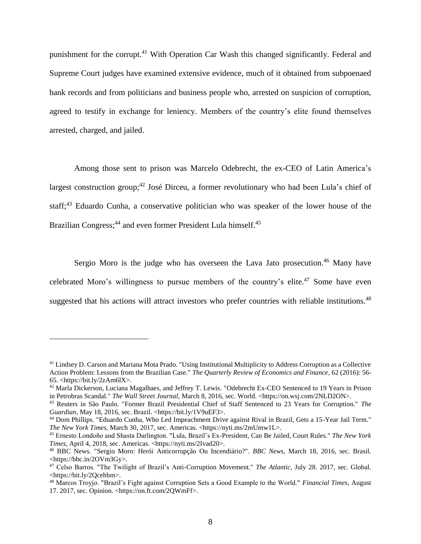punishment for the corrupt.<sup>41</sup> With Operation Car Wash this changed significantly. Federal and Supreme Court judges have examined extensive evidence, much of it obtained from subpoenaed bank records and from politicians and business people who, arrested on suspicion of corruption, agreed to testify in exchange for leniency. Members of the country's elite found themselves arrested, charged, and jailed.

Among those sent to prison was Marcelo Odebrecht, the ex-CEO of Latin America's largest construction group;<sup>42</sup> José Dirceu, a former revolutionary who had been Lula's chief of staff;<sup>43</sup> Eduardo Cunha, a conservative politician who was speaker of the lower house of the Brazilian Congress;<sup>44</sup> and even former President Lula himself.<sup>45</sup>

Sergio Moro is the judge who has overseen the Lava Jato prosecution.<sup>46</sup> Many have celebrated Moro's willingness to pursue members of the country's elite. $47$  Some have even suggested that his actions will attract investors who prefer countries with reliable institutions.<sup>48</sup>

<sup>41</sup> Lindsey D. Carson and Mariana Mota Prado. "Using Institutional Multiplicity to Address Corruption as a Collective Action Problem: Lessons from the Brazilian Case." *The Quarterly Review of Economics and Finance*, 62 (2016): 56- 65. <https://bit.ly/2zAm6lX>.

<sup>&</sup>lt;sup>42</sup> Marla Dickerson, Luciana Magalhaes, and Jeffrey T. Lewis. "Odebrecht Ex-CEO Sentenced to 19 Years in Prison in Petrobras Scandal." *The Wall Street Journal*, March 8, 2016, sec. World. <https://on.wsj.com/2NLD2ON>.

<sup>43</sup> Reuters in São Paulo. "Former Brazil Presidential Chief of Staff Sentenced to 23 Years for Corruption." *The Guardian*, May 18, 2016, sec. Brazil. <https://bit.ly/1V9uEF3>.

<sup>44</sup> Dom Phillips. "Eduardo Cunha, Who Led Impeachment Drive against Rival in Brazil, Gets a 15-Year Jail Term." *The New York Times*, March 30, 2017, sec. Americas. <https://nyti.ms/2mUmw1L>.

<sup>45</sup> Ernesto Londoño and Shasta Darlington. "Lula, Brazil's Ex-President, Can Be Jailed, Court Rules." *The New York Times*, April 4, 2018, sec. Americas. <https://nyti.ms/2Ivad20>.

<sup>46</sup> BBC News. "Sergio Moro: Herói Anticorrupção Ou Incendiário?". *BBC News*, March 18, 2016, sec. Brasil. <https://bbc.in/2OVm3Gy>.

<sup>47</sup> Celso Barros. "The Twilight of Brazil's Anti-Corruption Movement." *The Atlantic*, July 28. 2017, sec. Global. <https://bit.ly/2Qcehbm>.

<sup>48</sup> Marcos Troyjo. "Brazil's Fight against Corruption Sets a Good Example to the World." *Financial Times*, August 17. 2017, sec. Opinion. <https://on.ft.com/2QWmFf>.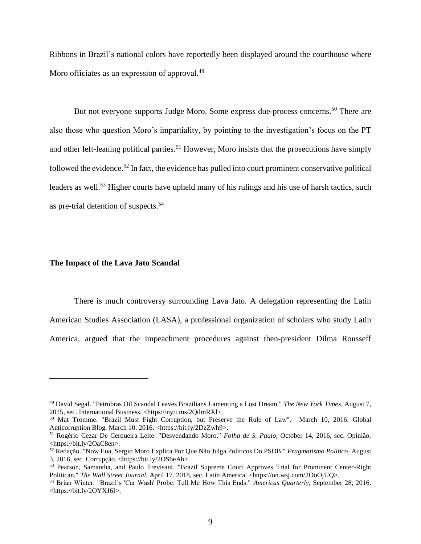Ribbons in Brazil's national colors have reportedly been displayed around the courthouse where Moro officiates as an expression of approval.<sup>49</sup>

But not everyone supports Judge Moro. Some express due-process concerns.<sup>50</sup> There are also those who question Moro's impartiality, by pointing to the investigation's focus on the PT and other left-leaning political parties.<sup>51</sup> However, Moro insists that the prosecutions have simply followed the evidence.<sup>52</sup> In fact, the evidence has pulled into court prominent conservative political leaders as well.<sup>53</sup> Higher courts have upheld many of his rulings and his use of harsh tactics, such as pre-trial detention of suspects. 54

#### **The Impact of the Lava Jato Scandal**

 $\overline{a}$ 

There is much controversy surrounding Lava Jato. A delegation representing the Latin American Studies Association (LASA), a professional organization of scholars who study Latin America, argued that the impeachment procedures against then-president Dilma Rousseff

<sup>49</sup> David Segal. "Petrobras Oil Scandal Leaves Brazilians Lamenting a Lost Dream." *The New York Times*, August 7, 2015, sec. International Business. <https://nyti.ms/2QdmRXl>.

<sup>50</sup> Mat Tromme. "Brazil Must Fight Corruption, but Preserve the Rule of Law". March 10, 2016: Global Anticorruption Blog. March 10, 2016. <https://bit.ly/2DzZwh9>.

<sup>51</sup> Rogério Cezar De Cerqueira Leite. "Desvendando Moro." *Folha de S. Paulo*, October 14, 2016, sec. Opinião. <https://bit.ly/2OaC8en>.

<sup>52</sup> Redação. "Now Eua, Sergio Moro Explica Por Que Não Julga Políticos Do PSDB." *Pragmatismo Político*, August 3, 2016, sec. Corrupção. <https://bit.ly/2OS6eAb>.

<sup>53</sup> Pearson, Samantha, and Paulo Trevisani. "Brazil Supreme Court Approves Trial for Prominent Center-Right Politican." *The Wall Street Journal*, April 17. 2018, sec. Latin America. <https://on.wsj.com/2OoOjUQ>.

<sup>54</sup> Brian Winter. "Brazil's 'Car Wash' Probe: Tell Me How This Ends." *Americas Quarterly*, September 28, 2016. <https://bit.ly/2OYXJ6I>.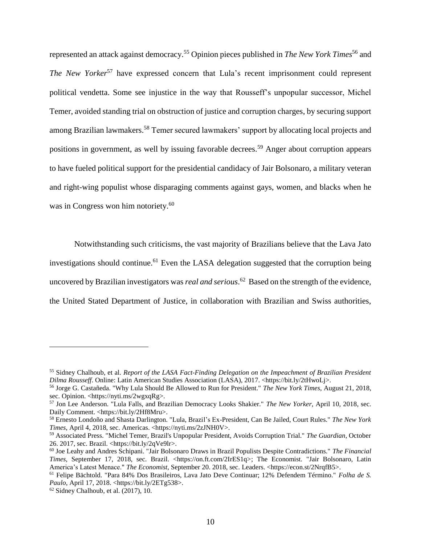represented an attack against democracy.<sup>55</sup> Opinion pieces published in *The New York Times*<sup>56</sup> and *The New Yorker*<sup>57</sup> have expressed concern that Lula's recent imprisonment could represent political vendetta. Some see injustice in the way that Rousseff's unpopular successor, Michel Temer, avoided standing trial on obstruction of justice and corruption charges, by securing support among Brazilian lawmakers.<sup>58</sup> Temer secured lawmakers' support by allocating local projects and positions in government, as well by issuing favorable decrees.<sup>59</sup> Anger about corruption appears to have fueled political support for the presidential candidacy of Jair Bolsonaro, a military veteran and right-wing populist whose disparaging comments against gays, women, and blacks when he was in Congress won him notoriety. 60

Notwithstanding such criticisms, the vast majority of Brazilians believe that the Lava Jato investigations should continue.<sup>61</sup> Even the LASA delegation suggested that the corruption being uncovered by Brazilian investigators was *real and serious*. <sup>62</sup> Based on the strength of the evidence, the United Stated Department of Justice, in collaboration with Brazilian and Swiss authorities,

<sup>55</sup> Sidney Chalhoub, et al. *Report of the LASA Fact-Finding Delegation on the Impeachment of Brazilian President Dilma Rousseff.* Online: Latin American Studies Association (LASA), 2017. <https://bit.ly/2tHwoLj>.

<sup>56</sup> Jorge G. Castañeda. "Why Lula Should Be Allowed to Run for President." *The New York Times*, August 21, 2018, sec. Opinion. <https://nyti.ms/2wgxqRg>.

<sup>57</sup> Jon Lee Anderson. "Lula Falls, and Brazilian Democracy Looks Shakier." *The New Yorker*, April 10, 2018, sec. Daily Comment. <https://bit.ly/2Hf8Mru>.

<sup>58</sup> Ernesto Londoño and Shasta Darlington. "Lula, Brazil's Ex-President, Can Be Jailed, Court Rules." *The New York Times*, April 4, 2018, sec. Americas. <https://nyti.ms/2zJNH0V>.

<sup>59</sup> Associated Press. "Michel Temer, Brazil's Unpopular President, Avoids Corruption Trial." *The Guardian*, October 26. 2017, sec. Brazil. <https://bit.ly/2qVe9lr>.

<sup>60</sup> Joe Leahy and Andres Schipani. "Jair Bolsonaro Draws in Brazil Populists Despite Contradictions." *The Financial Times*, September 17, 2018, sec. Brazil. <https://on.ft.com/2IrES1q>; The Economist. "Jair Bolsonaro, Latin America's Latest Menace." *The Economist*, September 20. 2018, sec. Leaders. <https://econ.st/2NrqfB5>.

<sup>61</sup> Felipe Bächtold. "Para 84% Dos Brasileiros, Lava Jato Deve Continuar; 12% Defendem Término." *Folha de S. Paulo*, April 17, 2018. <https://bit.ly/2ETg538>.

 $62$  Sidney Chalhoub, et al. (2017), 10.